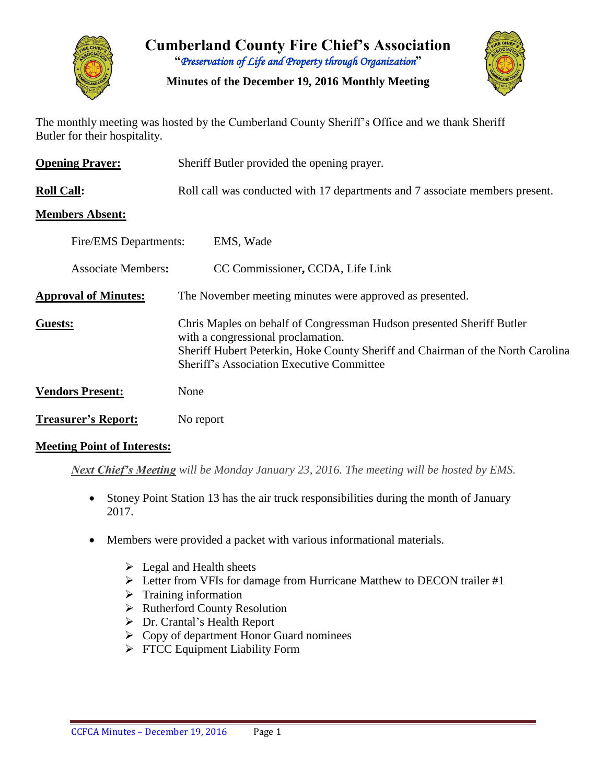

**Cumberland County Fire Chief's Association "***Preservation of Life and Property through Organization***"**

**Minutes of the December 19, 2016 Monthly Meeting**



The monthly meeting was hosted by the Cumberland County Sheriff's Office and we thank Sheriff Butler for their hospitality.

| <b>Opening Prayer:</b>      | Sheriff Butler provided the opening prayer.                                                                                                                                                                                                        |
|-----------------------------|----------------------------------------------------------------------------------------------------------------------------------------------------------------------------------------------------------------------------------------------------|
| <b>Roll Call:</b>           | Roll call was conducted with 17 departments and 7 associate members present.                                                                                                                                                                       |
| <b>Members Absent:</b>      |                                                                                                                                                                                                                                                    |
| Fire/EMS Departments:       | EMS, Wade                                                                                                                                                                                                                                          |
| <b>Associate Members:</b>   | CC Commissioner, CCDA, Life Link                                                                                                                                                                                                                   |
| <b>Approval of Minutes:</b> | The November meeting minutes were approved as presented.                                                                                                                                                                                           |
| Guests:                     | Chris Maples on behalf of Congressman Hudson presented Sheriff Butler<br>with a congressional proclamation.<br>Sheriff Hubert Peterkin, Hoke County Sheriff and Chairman of the North Carolina<br><b>Sheriff's Association Executive Committee</b> |
| <b>Vendors Present:</b>     | None                                                                                                                                                                                                                                               |
| <b>Treasurer's Report:</b>  | No report                                                                                                                                                                                                                                          |

#### **Meeting Point of Interests:**

*Next Chief's Meeting will be Monday January 23, 2016. The meeting will be hosted by EMS.*

- Stoney Point Station 13 has the air truck responsibilities during the month of January 2017.
- Members were provided a packet with various informational materials.
	- $\triangleright$  Legal and Health sheets
	- Letter from VFIs for damage from Hurricane Matthew to DECON trailer #1
	- $\triangleright$  Training information
	- $\triangleright$  Rutherford County Resolution
	- Dr. Crantal's Health Report
	- $\triangleright$  Copy of department Honor Guard nominees
	- $\triangleright$  FTCC Equipment Liability Form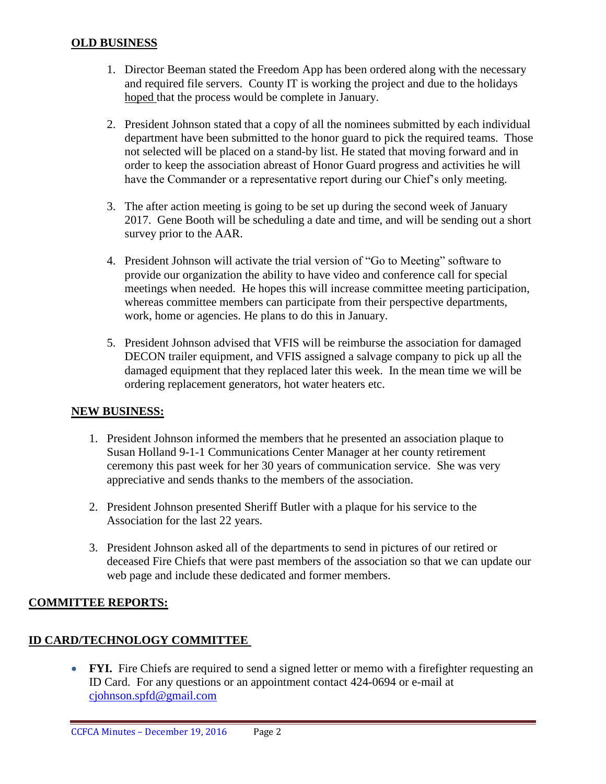#### **OLD BUSINESS**

- 1. Director Beeman stated the Freedom App has been ordered along with the necessary and required file servers. County IT is working the project and due to the holidays hoped that the process would be complete in January.
- 2. President Johnson stated that a copy of all the nominees submitted by each individual department have been submitted to the honor guard to pick the required teams. Those not selected will be placed on a stand-by list. He stated that moving forward and in order to keep the association abreast of Honor Guard progress and activities he will have the Commander or a representative report during our Chief's only meeting.
- 3. The after action meeting is going to be set up during the second week of January 2017. Gene Booth will be scheduling a date and time, and will be sending out a short survey prior to the AAR.
- 4. President Johnson will activate the trial version of "Go to Meeting" software to provide our organization the ability to have video and conference call for special meetings when needed. He hopes this will increase committee meeting participation, whereas committee members can participate from their perspective departments, work, home or agencies. He plans to do this in January.
- 5. President Johnson advised that VFIS will be reimburse the association for damaged DECON trailer equipment, and VFIS assigned a salvage company to pick up all the damaged equipment that they replaced later this week. In the mean time we will be ordering replacement generators, hot water heaters etc.

#### **NEW BUSINESS:**

- 1. President Johnson informed the members that he presented an association plaque to Susan Holland 9-1-1 Communications Center Manager at her county retirement ceremony this past week for her 30 years of communication service. She was very appreciative and sends thanks to the members of the association.
- 2. President Johnson presented Sheriff Butler with a plaque for his service to the Association for the last 22 years.
- 3. President Johnson asked all of the departments to send in pictures of our retired or deceased Fire Chiefs that were past members of the association so that we can update our web page and include these dedicated and former members.

#### **COMMITTEE REPORTS:**

#### **ID CARD/TECHNOLOGY COMMITTEE**

• **FYI.** Fire Chiefs are required to send a signed letter or memo with a firefighter requesting an ID Card. For any questions or an appointment contact 424-0694 or e-mail at [cjohnson.spfd@gmail.com](mailto:cjohnson.spfd@gmail.com)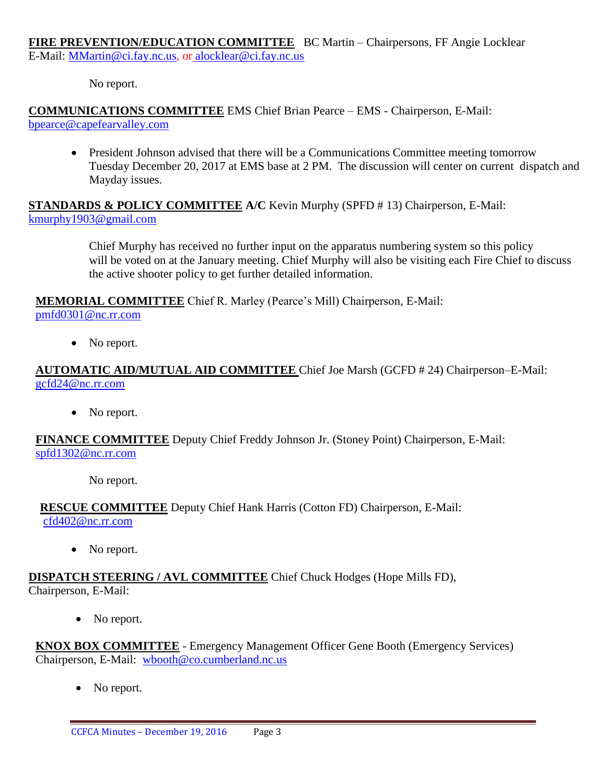**FIRE PREVENTION/EDUCATION COMMITTEE** BC Martin – Chairpersons, FF Angie Locklear E-Mail: [MMartin@ci.fay.nc.us,](mailto:MMartin@ci.fay.nc.us) or [alocklear@ci.fay.nc.us](mailto:alocklear@ci.fay.nc.us)

No report.

# **COMMUNICATIONS COMMITTEE** EMS Chief Brian Pearce – EMS - Chairperson, E-Mail:

bpearce@capefearvalley.com

• President Johnson advised that there will be a Communications Committee meeting tomorrow Tuesday December 20, 2017 at EMS base at 2 PM. The discussion will center on current dispatch and Mayday issues.

## **STANDARDS & POLICY COMMITTEE A/C** Kevin Murphy (SPFD # 13) Chairperson, E-Mail: [kmurphy1903@gmail.com](mailto:kmurphy1903@gmail.com)

Chief Murphy has received no further input on the apparatus numbering system so this policy will be voted on at the January meeting. Chief Murphy will also be visiting each Fire Chief to discuss the active shooter policy to get further detailed information.

**MEMORIAL COMMITTEE** Chief R. Marley (Pearce's Mill) Chairperson, E-Mail: [pmfd0301@nc.rr.com](mailto:pmfd0301@nc.rr.com)

• No report.

# **AUTOMATIC AID/MUTUAL AID COMMITTEE** Chief Joe Marsh (GCFD # 24) Chairperson–E-Mail: [gcfd24@nc.rr.com](mailto:gcfd24@nc.rr.com)

• No report.

**FINANCE COMMITTEE** Deputy Chief Freddy Johnson Jr. (Stoney Point) Chairperson, E-Mail: [spfd1302@nc.rr.com](mailto:spfd1302@nc.rr.com)

No report.

**RESCUE COMMITTEE** Deputy Chief Hank Harris (Cotton FD) Chairperson, E-Mail: [cfd402@nc.rr.com](mailto:cfd402@nc.rr.com)

• No report.

## **DISPATCH STEERING / AVL COMMITTEE** Chief Chuck Hodges (Hope Mills FD), Chairperson, E-Mail:

• No report.

**KNOX BOX COMMITTEE** - Emergency Management Officer Gene Booth (Emergency Services) Chairperson, E-Mail: [wbooth@co.cumberland.nc.us](mailto:wbooth@co.cumberland.nc.us)

No report.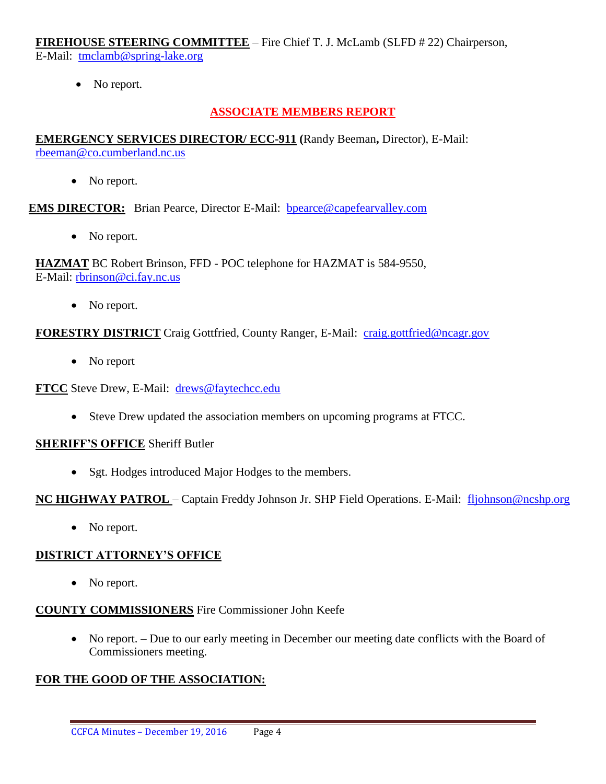**FIREHOUSE STEERING COMMITTEE** – Fire Chief T. J. McLamb (SLFD # 22) Chairperson, E-Mail: [tmclamb@spring-lake.org](mailto:tmclamb@spring-lake.org)

• No report.

# **ASSOCIATE MEMBERS REPORT**

**EMERGENCY SERVICES DIRECTOR/ ECC-911 (**Randy Beeman**,** Director), E-Mail: [rbeeman@co.cumberland.nc.us](mailto:rbeeman@co.cumberland.nc.us)

• No report.

**EMS DIRECTOR:** Brian Pearce, Director E-Mail: bpearce@capefearvalley.com

• No report.

**HAZMAT** BC Robert Brinson, FFD - POC telephone for HAZMAT is 584-9550, E-Mail: [rbrinson@ci.fay.nc.us](mailto:rbrinson@ci.fay.nc.us)

• No report.

**FORESTRY DISTRICT** Craig Gottfried, County Ranger, E-Mail: [craig.gottfried@ncagr.gov](mailto:craig.gottfried@ncagr.gov)

• No report

**FTCC** Steve Drew, E-Mail: [drews@faytechcc.edu](mailto:drews@faytechcc.edu)

Steve Drew updated the association members on upcoming programs at FTCC.

#### **SHERIFF'S OFFICE** Sheriff Butler

• Sgt. Hodges introduced Major Hodges to the members.

## **NC HIGHWAY PATROL** – Captain Freddy Johnson Jr. SHP Field Operations. E-Mail: [fljohnson@ncshp.org](mailto:fljohnson@ncshp.org)

• No report.

## **DISTRICT ATTORNEY'S OFFICE**

• No report.

# **COUNTY COMMISSIONERS** Fire Commissioner John Keefe

• No report. – Due to our early meeting in December our meeting date conflicts with the Board of Commissioners meeting.

# **FOR THE GOOD OF THE ASSOCIATION:**